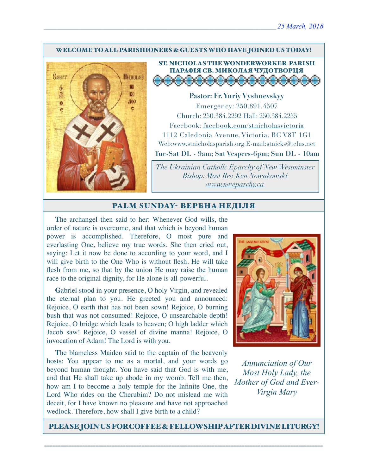#### WELCOME TO ALL PARISHIONERS & GUESTS WHO HAVE JOINED US TODAY!



# ST. NICHOLAS THE WONDERWORKER PARISH ПАРАФІЯ СВ. МИКОЛАЯ ЧУДОТВОРЦЯ

**Pastor: Fr. Yuriy Vyshnevskyy** Emergency: 250.891.4507 Church: 250.384.2292 Hall: 250.384.2255 Facebook: facebook.com/stnicholasvictoria 1112 Caledonia Avenue, Victoria, BC V8T 1G1 Web[:www.stnicholasparish.org](http://www.stnicholasparish.org) E-mail:[stnicks@telus.net](mailto:stnicks@telus.net) **Tue-Sat DL - 9am; Sat Vespers-6pm; Sun DL - 10am**

*The Ukrainian Catholic Eparchy of New Westminster Bishop: Most Rev. Ken Nowakowski [www.nweparchy.ca](http://www.nweparchy.ca)*

#### PALM SUNDAY- ВЕРБНА НЕДІЛЯ

**T**he archangel then said to her: Whenever God wills, the order of nature is overcome, and that which is beyond human power is accomplished. Therefore, O most pure and everlasting One, believe my true words. She then cried out, saying: Let it now be done to according to your word, and I will give birth to the One Who is without flesh. He will take flesh from me, so that by the union He may raise the human race to the original dignity, for He alone is all-powerful.

Gabriel stood in your presence, O holy Virgin, and revealed the eternal plan to you. He greeted you and announced: Rejoice, O earth that has not been sown! Rejoice, O burning bush that was not consumed! Rejoice, O unsearchable depth! Rejoice, O bridge which leads to heaven; O high ladder which Jacob saw! Rejoice, O vessel of divine manna! Rejoice, O invocation of Adam! The Lord is with you.

**T**he blameless Maiden said to the captain of the heavenly hosts: You appear to me as a mortal, and your words go beyond human thought. You have said that God is with me, and that He shall take up abode in my womb. Tell me then, how am I to become a holy temple for the Infinite One, the Lord Who rides on the Cherubim? Do not mislead me with deceit, for I have known no pleasure and have not approached wedlock. Therefore, how shall I give birth to a child?



*Annunciation of Our Most Holy Lady, the Mother of God and Ever-Virgin Mary*

PLEASE JOIN US FOR COFFEE & FELLOWSHIP AFTER DIVINE LITURGY!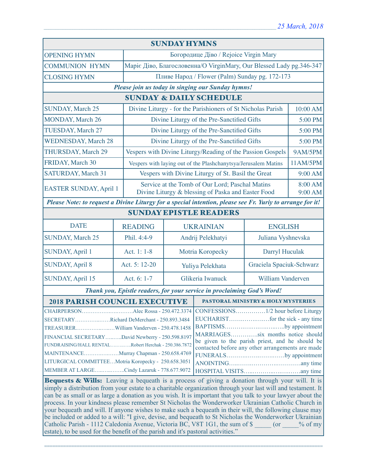| <b>SUNDAY HYMNS</b>                                                                                                                                                                                                                                                                                      |                                                                                                                                                                                              |                                                                     |                                                                                                       |                                                             |                    |  |
|----------------------------------------------------------------------------------------------------------------------------------------------------------------------------------------------------------------------------------------------------------------------------------------------------------|----------------------------------------------------------------------------------------------------------------------------------------------------------------------------------------------|---------------------------------------------------------------------|-------------------------------------------------------------------------------------------------------|-------------------------------------------------------------|--------------------|--|
| <b>OPENING HYMN</b>                                                                                                                                                                                                                                                                                      |                                                                                                                                                                                              | Богородице Діво / Rejoice Virgin Mary                               |                                                                                                       |                                                             |                    |  |
| <b>COMMUNION HYMN</b>                                                                                                                                                                                                                                                                                    |                                                                                                                                                                                              | Маріє Діво, Благословенна/О VirginMary, Our Blessed Lady pg.346-347 |                                                                                                       |                                                             |                    |  |
| <b>CLOSING HYMN</b>                                                                                                                                                                                                                                                                                      |                                                                                                                                                                                              | Пливе Народ / Flower (Palm) Sunday pg. 172-173                      |                                                                                                       |                                                             |                    |  |
| Please join us today in singing our Sunday hymns!                                                                                                                                                                                                                                                        |                                                                                                                                                                                              |                                                                     |                                                                                                       |                                                             |                    |  |
| <b>SUNDAY &amp; DAILY SCHEDULE</b>                                                                                                                                                                                                                                                                       |                                                                                                                                                                                              |                                                                     |                                                                                                       |                                                             |                    |  |
| <b>SUNDAY, March 25</b>                                                                                                                                                                                                                                                                                  |                                                                                                                                                                                              |                                                                     |                                                                                                       | Divine Liturgy - for the Parishioners of St Nicholas Parish |                    |  |
| <b>MONDAY, March 26</b>                                                                                                                                                                                                                                                                                  |                                                                                                                                                                                              |                                                                     | Divine Liturgy of the Pre-Sanctified Gifts                                                            |                                                             | 5:00 PM            |  |
| <b>TUESDAY, March 27</b>                                                                                                                                                                                                                                                                                 |                                                                                                                                                                                              |                                                                     | Divine Liturgy of the Pre-Sanctified Gifts                                                            |                                                             | 5:00 PM            |  |
| <b>WEDNESDAY, March 28</b>                                                                                                                                                                                                                                                                               |                                                                                                                                                                                              |                                                                     |                                                                                                       | Divine Liturgy of the Pre-Sanctified Gifts                  |                    |  |
| <b>THURSDAY, March 29</b>                                                                                                                                                                                                                                                                                |                                                                                                                                                                                              | Vespers with Divine Liturgy/Reading of the Passion Gospels          |                                                                                                       |                                                             | 9AM/5PM            |  |
| FRIDAY, March 30                                                                                                                                                                                                                                                                                         |                                                                                                                                                                                              | Vespers with laying out of the Plashchanytsya/Jerusalem Matins      |                                                                                                       |                                                             | 11AM/5PM           |  |
| <b>SATURDAY, March 31</b>                                                                                                                                                                                                                                                                                |                                                                                                                                                                                              | Vespers with Divine Liturgy of St. Basil the Great                  |                                                                                                       |                                                             |                    |  |
| <b>EASTER SUNDAY, April 1</b>                                                                                                                                                                                                                                                                            |                                                                                                                                                                                              |                                                                     | Service at the Tomb of Our Lord; Paschal Matins<br>Divine Liturgy & blessing of Paska and Easter Food |                                                             | 8:00 AM<br>9:00 AM |  |
| Please Note: to request a Divine Liturgy for a special intention, please see Fr. Yuriy to arrange for it!                                                                                                                                                                                                |                                                                                                                                                                                              |                                                                     |                                                                                                       |                                                             |                    |  |
| <b>SUNDAY EPISTLE READERS</b>                                                                                                                                                                                                                                                                            |                                                                                                                                                                                              |                                                                     |                                                                                                       |                                                             |                    |  |
| <b>DATE</b>                                                                                                                                                                                                                                                                                              | <b>READING</b>                                                                                                                                                                               | <b>UKRAINIAN</b>                                                    |                                                                                                       | <b>ENGLISH</b>                                              |                    |  |
| <b>SUNDAY, March 25</b>                                                                                                                                                                                                                                                                                  | Phil. 4:4-9                                                                                                                                                                                  | Andrij Pelekhatyi<br>Juliana Vyshnevska                             |                                                                                                       |                                                             |                    |  |
| <b>SUNDAY, April 1</b>                                                                                                                                                                                                                                                                                   | Act. 1: 1-8                                                                                                                                                                                  | Darryl Huculak<br>Motria Koropecky                                  |                                                                                                       |                                                             |                    |  |
| <b>SUNDAY, April 8</b>                                                                                                                                                                                                                                                                                   | Act. 5: 12-20                                                                                                                                                                                | Graciela Spaciuk-Schwarz<br>Yuliya Pelekhata                        |                                                                                                       |                                                             |                    |  |
| SUNDAY, April 15                                                                                                                                                                                                                                                                                         | Act. 6: 1-7                                                                                                                                                                                  | Glikeria Iwanuck<br>William Vanderven                               |                                                                                                       |                                                             |                    |  |
| Thank you, Epistle readers, for your service in proclaiming God's Word!                                                                                                                                                                                                                                  |                                                                                                                                                                                              |                                                                     |                                                                                                       |                                                             |                    |  |
| <b>2018 PARISH COUNCIL EXECUTIVE</b>                                                                                                                                                                                                                                                                     |                                                                                                                                                                                              |                                                                     | <b>PASTORAL MINISTRY &amp; HOLY MYSTERIES</b>                                                         |                                                             |                    |  |
| SECRETARYRichard DeMerchant - 250.893.3484<br>FINANCIAL SECRETARYDavid Newberry - 250.598.8197<br>FUNDRAISING/HALL RENTALRobert Herchak - 250.386.7872<br>MAINTENANCEMurray Chapman - 250.658.4769<br>LITURGICAL COMMITTEEMotria Koropecky - 250.658.3051<br>MEMBER AT LARGECindy Lazaruk - 778.677.9072 | BAPTISMSby appointment<br>MARRIAGESsix months notice should<br>be given to the parish priest, and he should be<br>contacted before any other arrangements are made<br>FUNERALSby appointment |                                                                     |                                                                                                       |                                                             |                    |  |
| Requeste & Willet Leaving a bequeath is a process of giving a doption through your will It is                                                                                                                                                                                                            |                                                                                                                                                                                              |                                                                     |                                                                                                       |                                                             |                    |  |

**Bequests & Wills:** Leaving a bequeath is a process of giving a donation through your will. It is simply a distribution from your estate to a charitable organization through your last will and testament. It can be as small or as large a donation as you wish. It is important that you talk to your lawyer about the process. In your kindness please remember St Nicholas the Wonderworker Ukrainian Catholic Church in your bequeath and will. If anyone wishes to make such a bequeath in their will, the following clause may be included or added to a will: "I give, devise, and bequeath to St Nicholas the Wonderworker Ukrainian Catholic Parish - 1112 Caledonia Avenue, Victoria BC, V8T 1G1, the sum of \$ \_\_\_\_\_ (or \_\_\_\_% of my estate), to be used for the benefit of the parish and it's pastoral activities."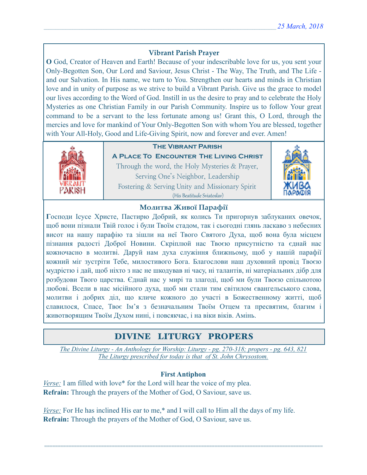## **Vibrant Parish Prayer**

**O** God, Creator of Heaven and Earth! Because of your indescribable love for us, you sent your Only-Begotten Son, Our Lord and Saviour, Jesus Christ - The Way, The Truth, and The Life and our Salvation. In His name, we turn to You. Strengthen our hearts and minds in Christian love and in unity of purpose as we strive to build a Vibrant Parish. Give us the grace to model our lives according to the Word of God. Instill in us the desire to pray and to celebrate the Holy Mysteries as one Christian Family in our Parish Community. Inspire us to follow Your great command to be a servant to the less fortunate among us! Grant this, O Lord, through the mercies and love for mankind of Your Only-Begotten Son with whom You are blessed, together with Your All-Holy, Good and Life-Giving Spirit, now and forever and ever. Amen!



## **The Vibrant Parish**

**A Place To Encounter The Living Christ** Through the word, the Holy Mysteries & Prayer, Serving One's Neighbor, Leadership Fostering & Serving Unity and Missionary Spirit (His Beatitude Sviatoslav)



## **Молитва Живої Парафії**

**Г**осподи Ісусе Христе, Пастирю Добрий, як колись Ти пригорнув заблуканих овечок, щоб вони пізнали Твій голос і були Твоїм стадом, так і сьогодні глянь ласкаво з небесних висот на нашу парафію та зішли на неї Твого Святого Духа, щоб вона була місцем пізнання радості Доброї Новини. Скріплюй нас Твоєю присутністю та єднай нас кожночасно в молитві. Даруй нам духа служіння ближньому, щоб у нашій парафії кожний міг зустріти Тебе, милостивого Бога. Благослови наш духовний провід Твоєю мудрістю і дай, щоб ніхто з нас не шкодував ні часу, ні талантів, ні матеріальних дібр для розбудови Твого царства. Єднай нас у мирі та злагоді, щоб ми були Твоєю спільнотою любові. Всели в нас місійного духа, щоб ми стали тим світилом євангельського слова, молитви і добрих діл, що кличе кожного до участі в Божественному житті, щоб славилося, Спасе, Твоє Ім'я з безначальним Твоїм Отцем та пресвятим, благим і животворящим Твоїм Духом нині, і повсякчас, і на віки віків. Амінь.

## DIVINE LITURGY PROPERS

*The Divine Liturgy - An Anthology for Worship: Liturgy - pg. 270-318; propers - pg. 643, 821 The Liturgy prescribed for today is that of St. John Chrysostom.*

## **First Antiphon**

=======================================================================================================

*Verse:* I am filled with love\* for the Lord will hear the voice of my plea. **Refrain:** Through the prayers of the Mother of God, O Saviour, save us.

*Verse:* For He has inclined His ear to me,\* and I will call to Him all the days of my life. **Refrain:** Through the prayers of the Mother of God, O Saviour, save us.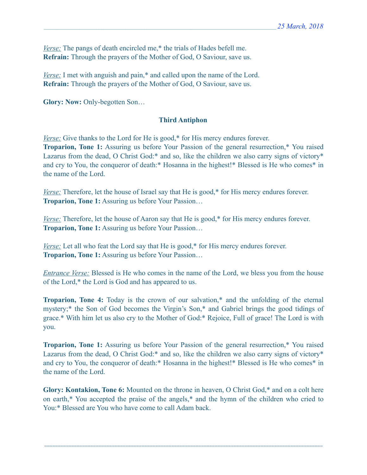*Verse:* The pangs of death encircled me,\* the trials of Hades befell me. **Refrain:** Through the prayers of the Mother of God, O Saviour, save us.

*Verse:* I met with anguish and pain,<sup>\*</sup> and called upon the name of the Lord. **Refrain:** Through the prayers of the Mother of God, O Saviour, save us.

**Glory: Now:** Only-begotten Son…

## **Third Antiphon**

*Verse:* Give thanks to the Lord for He is good,\* for His mercy endures forever. **Troparion, Tone 1:** Assuring us before Your Passion of the general resurrection,\* You raised Lazarus from the dead, O Christ God:\* and so, like the children we also carry signs of victory\* and cry to You, the conqueror of death:\* Hosanna in the highest!\* Blessed is He who comes\* in the name of the Lord.

*Verse:* Therefore, let the house of Israel say that He is good,\* for His mercy endures forever. **Troparion, Tone 1:** Assuring us before Your Passion…

*Verse:* Therefore, let the house of Aaron say that He is good,\* for His mercy endures forever. **Troparion, Tone 1:** Assuring us before Your Passion…

*Verse:* Let all who feat the Lord say that He is good,<sup>\*</sup> for His mercy endures forever. **Troparion, Tone 1:** Assuring us before Your Passion…

*Entrance Verse:* Blessed is He who comes in the name of the Lord, we bless you from the house of the Lord,\* the Lord is God and has appeared to us.

**Troparion, Tone 4:** Today is the crown of our salvation,\* and the unfolding of the eternal mystery;\* the Son of God becomes the Virgin's Son,\* and Gabriel brings the good tidings of grace.\* With him let us also cry to the Mother of God:\* Rejoice, Full of grace! The Lord is with you.

**Troparion, Tone 1:** Assuring us before Your Passion of the general resurrection,\* You raised Lazarus from the dead, O Christ God:\* and so, like the children we also carry signs of victory\* and cry to You, the conqueror of death:\* Hosanna in the highest!\* Blessed is He who comes\* in the name of the Lord.

**Glory: Kontakion, Tone 6:** Mounted on the throne in heaven, O Christ God,\* and on a colt here on earth,\* You accepted the praise of the angels,\* and the hymn of the children who cried to You:\* Blessed are You who have come to call Adam back.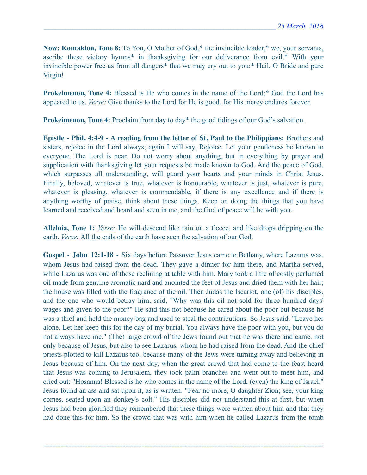**Now: Kontakion, Tone 8:** To You, O Mother of God,\* the invincible leader,\* we, your servants, ascribe these victory hymns\* in thanksgiving for our deliverance from evil.\* With your invincible power free us from all dangers\* that we may cry out to you:\* Hail, O Bride and pure Virgin!

**Prokeimenon, Tone 4:** Blessed is He who comes in the name of the Lord;<sup>\*</sup> God the Lord has appeared to us. *Verse:* Give thanks to the Lord for He is good, for His mercy endures forever.

**Prokeimenon, Tone 4:** Proclaim from day to day\* the good tidings of our God's salvation.

**Epistle - Phil. 4:4-9 - A reading from the letter of St. Paul to the Philippians:** Brothers and sisters, rejoice in the Lord always; again I will say, Rejoice. Let your gentleness be known to everyone. The Lord is near. Do not worry about anything, but in everything by prayer and supplication with thanksgiving let your requests be made known to God. And the peace of God, which surpasses all understanding, will guard your hearts and your minds in Christ Jesus. Finally, beloved, whatever is true, whatever is honourable, whatever is just, whatever is pure, whatever is pleasing, whatever is commendable, if there is any excellence and if there is anything worthy of praise, think about these things. Keep on doing the things that you have learned and received and heard and seen in me, and the God of peace will be with you.

**Alleluia, Tone 1:** *Verse:* He will descend like rain on a fleece, and like drops dripping on the earth. *Verse:* All the ends of the earth have seen the salvation of our God.

**Gospel - John 12:1-18 -** Six days before Passover Jesus came to Bethany, where Lazarus was, whom Jesus had raised from the dead. They gave a dinner for him there, and Martha served, while Lazarus was one of those reclining at table with him. Mary took a litre of costly perfumed oil made from genuine aromatic nard and anointed the feet of Jesus and dried them with her hair; the house was filled with the fragrance of the oil. Then Judas the Iscariot, one (of) his disciples, and the one who would betray him, said, "Why was this oil not sold for three hundred days' wages and given to the poor?" He said this not because he cared about the poor but because he was a thief and held the money bag and used to steal the contributions. So Jesus said, "Leave her alone. Let her keep this for the day of my burial. You always have the poor with you, but you do not always have me." (The) large crowd of the Jews found out that he was there and came, not only because of Jesus, but also to see Lazarus, whom he had raised from the dead. And the chief priests plotted to kill Lazarus too, because many of the Jews were turning away and believing in Jesus because of him. On the next day, when the great crowd that had come to the feast heard that Jesus was coming to Jerusalem, they took palm branches and went out to meet him, and cried out: "Hosanna! Blessed is he who comes in the name of the Lord, (even) the king of Israel." Jesus found an ass and sat upon it, as is written: "Fear no more, O daughter Zion; see, your king comes, seated upon an donkey's colt." His disciples did not understand this at first, but when Jesus had been glorified they remembered that these things were written about him and that they had done this for him. So the crowd that was with him when he called Lazarus from the tomb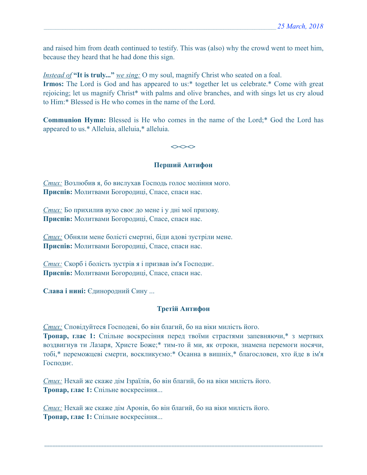and raised him from death continued to testify. This was (also) why the crowd went to meet him, because they heard that he had done this sign.

*Instead of* **"It is truly..."** *we sing:* O my soul, magnify Christ who seated on a foal. **Irmos:** The Lord is God and has appeared to us:\* together let us celebrate.\* Come with great rejoicing; let us magnify Christ\* with palms and olive branches, and with sings let us cry aloud to Him:\* Blessed is He who comes in the name of the Lord.

**Communion Hymn:** Blessed is He who comes in the name of the Lord;\* God the Lord has appeared to us.\* Alleluia, alleluia,\* alleluia.

 $\iff$ 

## **Перший Антифон**

*Стих:* Возлюбив я, бо вислухав Господь голос моління мого. **Приспів:** Молитвами Богородиці, Спасе, спаси нас.

*Стих:* Бо прихилив вухо своє до мене і у дні мої призову. **Приспів:** Молитвами Богородиці, Спасе, спаси нас.

*Стих:* Обняли мене болісті смертні, біди адові зустріли мене. **Приспів:** Молитвами Богородиці, Спасе, спаси нас.

*Стих:* Скорб і болість зустрів я і призвав ім'я Господнє. **Приспів:** Молитвами Богородиці, Спасе, спаси нас.

**Слава і нині:** Єдинородний Сину ...

#### **Третій Антифон**

*Стих:* Сповідуйтеся Господеві, бо він благий, бо на віки милість його.

**Тропар, глас 1:** Спільне воскресіння перед твоїми страстями запевняючи,\* з мертвих воздвигнув ти Лазаря, Христе Боже;\* тим-то й ми, як отроки, знамена перемоги носячи, тобі,\* переможцеві смерти, воскликуємо:\* Осанна в вишніх,\* благословен, хто йде в ім'я Господнє.

=======================================================================================================

*Стих:* Нехай же скаже дім Ізраїлів, бо він благий, бо на віки милість його. **Тропар, глас 1:** Спільне воскресіння...

*Стих:* Нехай же скаже дім Аронів, бо він благий, бо на віки милість його. **Тропар, глас 1:** Спільне воскресіння...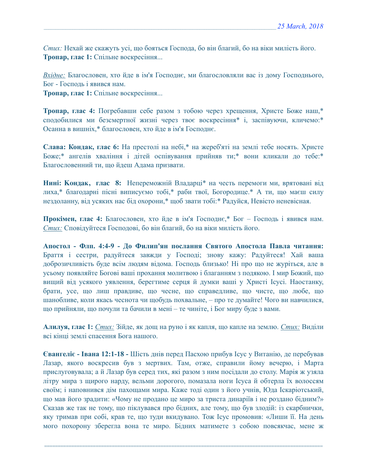*Стих:* Нехай же скажуть усі, що бояться Господа, бо він благий, бо на віки милість його. **Тропар, глас 1:** Спільне воскресіння...

*Вхідне:* Благословен, хто йде в ім'я Господнє, ми благословляли вас із дому Господнього, Бог - Господь і явився нам.

**Тропар, глас 1:** Спільне воскресіння...

**Тропар, глас 4:** Погребавши себе разом з тобою через хрещення, Христе Боже наш,\* сподобилися ми безсмертної жизні через твоє воскресіння\* і, заспівуючи, кличемо:\* Осанна в вишніх,\* благословен, хто йде в ім'я Господнє.

**Слава: Кондак, глас 6:** На престолі на небі,\* на жереб'яті на землі тебе носять. Христе Боже;\* ангелів хваління і дітей оспівування прийняв ти;\* вони кликали до тебе:\* Благословенний ти, що йдеш Адама призвати.

**Нині: Кондак, глас 8:** Непереможній Владарці\* на честь перемоги ми, врятовані від лиха,\* благодарні пісні виписуємо тобі,\* раби твої, Богородице.\* А ти, що маєш силу нездоланну, від усяких нас бід охорони,\* щоб звати тобі:\* Радуйся, Невісто неневісная.

**Прокімен, глас 4:** Благословен, хто йде в ім'я Господнє,\* Бог – Господь і явився нам. *Стих:* Сповідуйтеся Господові, бо він благий, бо на віки милість його.

**Апостол - Флп. 4:4-9 - До Филип'ян послання Святого Апостола Павла читання:** Браття і сестри, радуйтеся завжди у Господі; знову кажу: Радуйтеся! Хай ваша доброзичливість буде всім людям відома. Господь близько! Ні про що не журіться, але в усьому появляйте Богові ваші прохання молитвою і благанням з подякою. І мир Божий, що вищий від усякого уявлення, берегтиме серця й думки ваші у Христі Ісусі. Наостанку, брати, усе, що лиш правдиве, що чесне, що справедливе, що чисте, що любе, що шанобливе, коли якась чеснота чи щобудь похвальне, – про те думайте! Чого ви навчилися, що прийняли, що почули та бачили в мені – те чиніте, і Бог миру буде з вами.

**Алилуя, глас 1:** *Стих:* Зійде, як дощ на руно і як капля, що капле на землю. *Стих:* Виділи всі кінці землі спасення Бога нашого.

**Євангеліє - Івана 12:1-18 -** Шість днів перед Пасхою прибув Ісус у Витанію, де перебував Лазар, якого воскресив був з мертвих. Там, отже, справили йому вечерю, і Марта прислуговувала; а й Лазар був серед тих, які разом з ним посідали до столу. Марія ж узяла літру мира з щирого нарду, вельми дорогого, помазала ноги Ісуса й обтерла їх волоссям своїм; і наповнився дім пахощами мира. Каже тоді один з його учнів, Юда Іскаріотський, що мав його зрадити: «Чому не продано це миро за триста динаріїв і не роздано бідним?» Сказав же так не тому, що піклувався про бідних, але тому, що був злодій: із скарбнички, яку тримав при собі, крав те, що туди вкидувано. Тож Ісус промовив: «Лиши її. На день мого похорону зберегла вона те миро. Бідних матимете з собою повсякчас, мене ж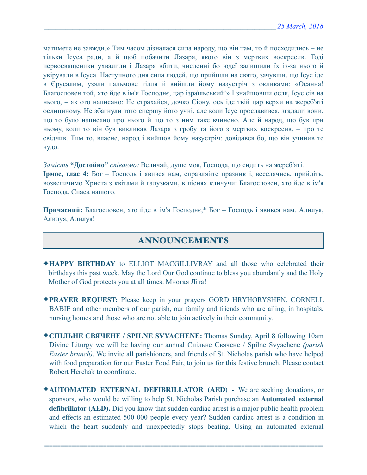матимете не завжди.» Тим часом дізналася сила народу, що він там, то й посходились – не тільки Ісуса ради, а й щоб побачити Лазаря, якого він з мертвих воскресив. Тоді первосвященики ухвалили і Лазаря вбити, численні бо юдеї залишили їх із-за нього й увірували в Ісуса. Наступного дня сила людей, що прийшли на свято, зачувши, що Ісус іде в Єрусалим, узяли пальмове гілля й вийшли йому назустріч з окликами: «Осанна! Благословен той, хто йде в ім'я Господнє, цар ізраїльський!» І знайшовши осля, Ісус сів на нього, – як ото написано: Не страхайся, дочко Сіону, ось іде твій цар верхи на жереб'яті ослициному. Не збагнули того спершу його учні, але коли Ісус прославився, згадали вони, що то було написано про нього й що то з ним таке вчинено. Але й народ, що був при ньому, коли то він був викликав Лазаря з гробу та його з мертвих воскресив, – про те свідчив. Тим то, власне, народ і вийшов йому назустріч: довідався бо, що він учинив те чудо.

*Замість* **"Достойно"** *співаємо:* Величай, душе моя, Господа, що сидить на жереб'яті. **Ірмос, глас 4:** Бог – Господь і явився нам, справляйте празник і, веселячись, прийдіть, возвеличимо Христа з квітами й галузками, в піснях кличучи: Благословен, хто йде в ім'я Господа, Спаса нашого.

**Причасний:** Благословен, хто йде в ім'я Господнє,\* Бог – Господь і явився нам. Алилуя, Алилуя, Алилуя!

## ANNOUNCEMENTS

- ✦**HAPPY BIRTHDAY** to ELLIOT MACGILLIVRAY and all those who celebrated their birthdays this past week. May the Lord Our God continue to bless you abundantly and the Holy Mother of God protects you at all times. Многая Літа!
- ✦**PRAYER REQUEST:** Please keep in your prayers GORD HRYHORYSHEN, CORNELL BABIE and other members of our parish, our family and friends who are ailing, in hospitals, nursing homes and those who are not able to join actively in their community.
- ✦**СПІЛЬНЕ СВЯЧЕНЕ / SPILNE SVYACHENE:** Thomas Sunday, April 8 following 10am Divine Liturgy we will be having our annual Спільне Свячене / Spilne Svyachene *(parish Easter brunch)*. We invite all parishioners, and friends of St. Nicholas parish who have helped with food preparation for our Easter Food Fair, to join us for this festive brunch. Please contact Robert Herchak to coordinate.
- ✦**AUTOMATED EXTERNAL DEFIBRILLATOR (AED)** We are seeking donations, or sponsors, who would be willing to help St. Nicholas Parish purchase an **Automated external defibrillator (AED).** Did you know that sudden cardiac arrest is a major public health problem and effects an estimated 500 000 people every year? Sudden cardiac arrest is a condition in which the heart suddenly and unexpectedly stops beating. Using an automated external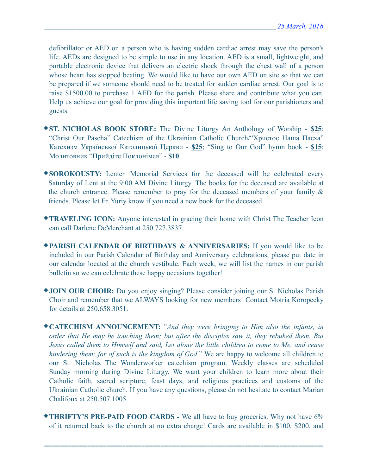defibrillator or AED on a person who is having sudden cardiac arrest may save the person's life. AEDs are designed to be simple to use in any location. AED is a small, lightweight, and portable electronic device that delivers an electric shock through the chest wall of a person whose heart has stopped beating. We would like to have our own AED on site so that we can be prepared if we someone should need to be treated for sudden cardiac arrest. Our goal is to raise \$1500.00 to purchase 1 AED for the parish. Please share and contribute what you can. Help us achieve our goal for providing this important life saving tool for our parishioners and guests.

- ✦**ST. NICHOLAS BOOK STORE:** The Divine Liturgy An Anthology of Worship **\$25**; "Christ Our Pascha" Catechism of the Ukrainian Catholic Church/"Христос Наша Пасха" Катехизм Української Католицької Церкви - **\$25**; "Sing to Our God" hymn book - **\$15**; Молитовник "Прийдіте Поклонімся" - **\$10**.
- ✦**SOROKOUSTY:** Lenten Memorial Services for the deceased will be celebrated every Saturday of Lent at the 9:00 AM Divine Liturgy. The books for the deceased are available at the church entrance. Please remember to pray for the deceased members of your family  $\&$ friends. Please let Fr. Yuriy know if you need a new book for the deceased.
- ✦**TRAVELING ICON:** Anyone interested in gracing their home with Christ The Teacher Icon can call Darlene DeMerchant at 250.727.3837.
- ✦**PARISH CALENDAR OF BIRTHDAYS & ANNIVERSARIES:** If you would like to be included in our Parish Calendar of Birthday and Anniversary celebrations, please put date in our calendar located at the church vestibule. Each week, we will list the names in our parish bulletin so we can celebrate these happy occasions together!
- ✦**JOIN OUR CHOIR:** Do you enjoy singing? Please consider joining our St Nicholas Parish Choir and remember that we ALWAYS looking for new members! Contact Motria Koropecky for details at 250.658.3051.
- ✦**CATECHISM ANNOUNCEMENT:** "*And they were bringing to Him also the infants, in order that He may be touching them; but after the disciples saw it, they rebuked them. But Jesus called them to Himself and said, Let alone the little children to come to Me, and cease hindering them; for of such is the kingdom of God*." We are happy to welcome all children to our St. Nicholas The Wonderworker catechism program. Weekly classes are scheduled Sunday morning during Divine Liturgy. We want your children to learn more about their Catholic faith, sacred scripture, feast days, and religious practices and customs of the Ukrainian Catholic church. If you have any questions, please do not hesitate to contact Marian Chalifoux at 250.507.1005.
- ✦**THRIFTY'S PRE-PAID FOOD CARDS** We all have to buy groceries. Why not have 6% of it returned back to the church at no extra charge! Cards are available in \$100, \$200, and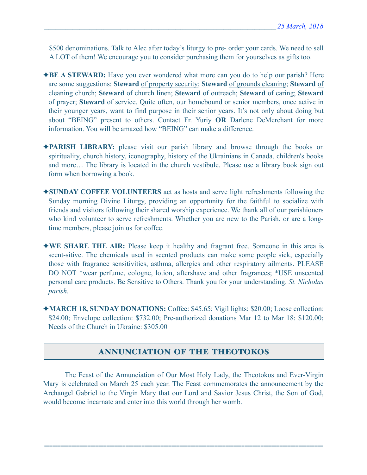\$500 denominations. Talk to Alec after today's liturgy to pre- order your cards. We need to sell A LOT of them! We encourage you to consider purchasing them for yourselves as gifts too.

- ✦**BE A STEWARD:** Have you ever wondered what more can you do to help our parish? Here are some suggestions: **Steward** of property security; **Steward** of grounds cleaning; **Steward** of cleaning church; **Steward** of church linen; **Steward** of outreach; **Steward** of caring; **Steward** of prayer; **Steward** of service. Quite often, our homebound or senior members, once active in their younger years, want to find purpose in their senior years. It's not only about doing but about "BEING" present to others. Contact Fr. Yuriy **OR** Darlene DeMerchant for more information. You will be amazed how "BEING" can make a difference.
- ✦**PARISH LIBRARY:** please visit our parish library and browse through the books on spirituality, church history, iconography, history of the Ukrainians in Canada, children's books and more… The library is located in the church vestibule. Please use a library book sign out form when borrowing a book.
- ✦**SUNDAY COFFEE VOLUNTEERS** act as hosts and serve light refreshments following the Sunday morning Divine Liturgy, providing an opportunity for the faithful to socialize with friends and visitors following their shared worship experience. We thank all of our parishioners who kind volunteer to serve refreshments. Whether you are new to the Parish, or are a longtime members, please join us for coffee.
- ✦**WE SHARE THE AIR:** Please keep it healthy and fragrant free. Someone in this area is scent-sitive. The chemicals used in scented products can make some people sick, especially those with fragrance sensitivities, asthma, allergies and other respiratory ailments. PLEASE DO NOT \*wear perfume, cologne, lotion, aftershave and other fragrances; \*USE unscented personal care products. Be Sensitive to Others. Thank you for your understanding. *St. Nicholas parish.*
- ✦**MARCH 18, SUNDAY DONATIONS:** Coffee: \$45.65; Vigil lights: \$20.00; Loose collection: \$24.00; Envelope collection: \$732.00; Pre-authorized donations Mar 12 to Mar 18: \$120.00; Needs of the Church in Ukraine: \$305.00

## ANNUNCIATION OF THE THEOTOKOS

The Feast of the Annunciation of Our Most Holy Lady, the Theotokos and Ever-Virgin Mary is celebrated on March 25 each year. The Feast commemorates the announcement by the Archangel Gabriel to the Virgin Mary that our Lord and Savior Jesus Christ, the Son of God, would become incarnate and enter into this world through her womb.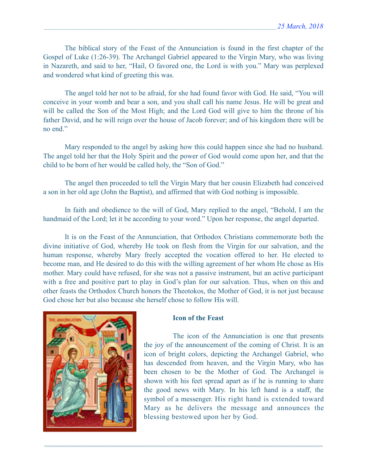The biblical story of the Feast of the Annunciation is found in the first chapter of the Gospel of Luke (1:26-39). The Archangel Gabriel appeared to the Virgin Mary, who was living in Nazareth, and said to her, "Hail, O favored one, the Lord is with you." Mary was perplexed and wondered what kind of greeting this was.

 The angel told her not to be afraid, for she had found favor with God. He said, "You will conceive in your womb and bear a son, and you shall call his name Jesus. He will be great and will be called the Son of the Most High; and the Lord God will give to him the throne of his father David, and he will reign over the house of Jacob forever; and of his kingdom there will be no end"

 Mary responded to the angel by asking how this could happen since she had no husband. The angel told her that the Holy Spirit and the power of God would come upon her, and that the child to be born of her would be called holy, the "Son of God."

 The angel then proceeded to tell the Virgin Mary that her cousin Elizabeth had conceived a son in her old age (John the Baptist), and affirmed that with God nothing is impossible.

 In faith and obedience to the will of God, Mary replied to the angel, "Behold, I am the handmaid of the Lord; let it be according to your word." Upon her response, the angel departed.

 It is on the Feast of the Annunciation, that Orthodox Christians commemorate both the divine initiative of God, whereby He took on flesh from the Virgin for our salvation, and the human response, whereby Mary freely accepted the vocation offered to her. He elected to become man, and He desired to do this with the willing agreement of her whom He chose as His mother. Mary could have refused, for she was not a passive instrument, but an active participant with a free and positive part to play in God's plan for our salvation. Thus, when on this and other feasts the Orthodox Church honors the Theotokos, the Mother of God, it is not just because God chose her but also because she herself chose to follow His will.

=======================================================================================================



## **Icon of the Feast**

 The icon of the Annunciation is one that presents the joy of the announcement of the coming of Christ. It is an icon of bright colors, depicting the Archangel Gabriel, who has descended from heaven, and the Virgin Mary, who has been chosen to be the Mother of God. The Archangel is shown with his feet spread apart as if he is running to share the good news with Mary. In his left hand is a staff, the symbol of a messenger. His right hand is extended toward Mary as he delivers the message and announces the blessing bestowed upon her by God.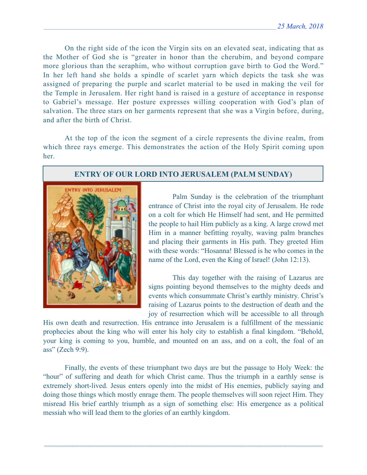On the right side of the icon the Virgin sits on an elevated seat, indicating that as the Mother of God she is "greater in honor than the cherubim, and beyond compare more glorious than the seraphim, who without corruption gave birth to God the Word." In her left hand she holds a spindle of scarlet yarn which depicts the task she was assigned of preparing the purple and scarlet material to be used in making the veil for the Temple in Jerusalem. Her right hand is raised in a gesture of acceptance in response to Gabriel's message. Her posture expresses willing cooperation with God's plan of salvation. The three stars on her garments represent that she was a Virgin before, during, and after the birth of Christ.

 At the top of the icon the segment of a circle represents the divine realm, from which three rays emerge. This demonstrates the action of the Holy Spirit coming upon her.

## **ENTRY OF OUR LORD INTO JERUSALEM (PALM SUNDAY)**



 Palm Sunday is the celebration of the triumphant entrance of Christ into the royal city of Jerusalem. He rode on a colt for which He Himself had sent, and He permitted the people to hail Him publicly as a king. A large crowd met Him in a manner befitting royalty, waving palm branches and placing their garments in His path. They greeted Him with these words: "Hosanna! Blessed is he who comes in the name of the Lord, even the King of Israel! (John 12:13).

 This day together with the raising of Lazarus are signs pointing beyond themselves to the mighty deeds and events which consummate Christ's earthly ministry. Christ's raising of Lazarus points to the destruction of death and the joy of resurrection which will be accessible to all through

His own death and resurrection. His entrance into Jerusalem is a fulfillment of the messianic prophecies about the king who will enter his holy city to establish a final kingdom. "Behold, your king is coming to you, humble, and mounted on an ass, and on a colt, the foal of an ass" (Zech 9:9).

 Finally, the events of these triumphant two days are but the passage to Holy Week: the "hour" of suffering and death for which Christ came. Thus the triumph in a earthly sense is extremely short-lived. Jesus enters openly into the midst of His enemies, publicly saying and doing those things which mostly enrage them. The people themselves will soon reject Him. They misread His brief earthly triumph as a sign of something else: His emergence as a political messiah who will lead them to the glories of an earthly kingdom.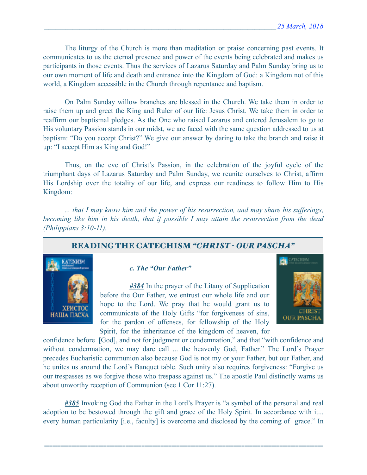The liturgy of the Church is more than meditation or praise concerning past events. It communicates to us the eternal presence and power of the events being celebrated and makes us participants in those events. Thus the services of Lazarus Saturday and Palm Sunday bring us to our own moment of life and death and entrance into the Kingdom of God: a Kingdom not of this world, a Kingdom accessible in the Church through repentance and baptism.

 On Palm Sunday willow branches are blessed in the Church. We take them in order to raise them up and greet the King and Ruler of our life: Jesus Christ. We take them in order to reaffirm our baptismal pledges. As the One who raised Lazarus and entered Jerusalem to go to His voluntary Passion stands in our midst, we are faced with the same question addressed to us at baptism: "Do you accept Christ?" We give our answer by daring to take the branch and raise it up: "I accept Him as King and God!"

Thus, on the eve of Christ's Passion, in the celebration of the joyful cycle of the triumphant days of Lazarus Saturday and Palm Sunday, we reunite ourselves to Christ, affirm His Lordship over the totality of our life, and express our readiness to follow Him to His Kingdom:

 *... that I may know him and the power of his resurrection, and may share his sufferings, becoming like him in his death, that if possible I may attain the resurrection from the dead (Philippians 3:10-11).*

## READING THE CATECHISM *"CHRIST - OUR PASCHA"*



### *c. The "Our Father"*

 *#384* In the prayer of the Litany of Supplication before the Our Father, we entrust our whole life and our hope to the Lord. We pray that he would grant us to communicate of the Holy Gifts "for forgiveness of sins, for the pardon of offenses, for fellowship of the Holy Spirit, for the inheritance of the kingdom of heaven, for



confidence before [God], and not for judgment or condemnation," and that "with confidence and without condemnation, we may dare call ... the heavenly God, Father." The Lord's Prayer precedes Eucharistic communion also because God is not my or your Father, but our Father, and he unites us around the Lord's Banquet table. Such unity also requires forgiveness: "Forgive us our trespasses as we forgive those who trespass against us." The apostle Paul distinctly warns us about unworthy reception of Communion (see 1 Cor 11:27).

*#385* Invoking God the Father in the Lord's Prayer is "a symbol of the personal and real adoption to be bestowed through the gift and grace of the Holy Spirit. In accordance with it... every human particularity [i.e., faculty] is overcome and disclosed by the coming of grace." In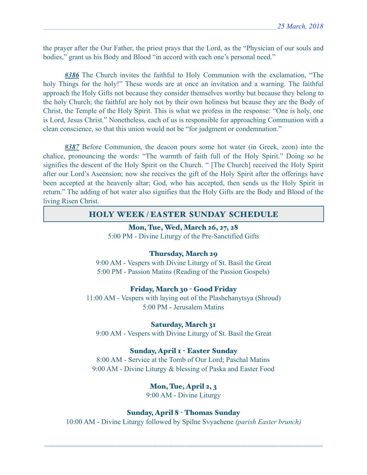the prayer after the Our Father, the priest prays that the Lord, as the "Physician of our souls and bodies," grant us his Body and Blood "in accord with each one's personal need."

*#386* The Church invites the faithful to Holy Communion with the exclamation, "The holy Things for the holy!" These words are at once an invitation and a warning. The faithful approach the Holy Gifts not because they consider themselves worthy but because they belong to the holy Church; the faithful are holy not by their own holiness but bcause they are the Body of Christ, the Temple of the Holy Spirit. This is what we profess in the response: "One is holy, one is Lord, Jesus Christ." Nonetheless, each of us is responsible for approaching Communion with a clean conscience, so that this union would not be "for judgment or condemnation."

*#387* Before Communion, the deacon pours some hot water (in Greek, zeon) into the chalice, pronouncing the words: "The warmth of faith full of the Holy Spirit." Doing so he signifies the descent of the Holy Spirit on the Church. " [The Church] received the Holy Spirit after our Lord's Ascension; now she receives the gift of the Holy Spirit after the offerings have been accepted at the heavenly altar; God, who has accepted, then sends us the Holy Spirit in return." The adding of hot water also signifies that the Holy Gifts are the Body and Blood of the living Risen Christ.

#### HOLY WEEK / EASTER SUNDAY SCHEDULE

#### Mon, Tue, Wed, March 26, 27, 28

5:00 PM - Divine Liturgy of the Pre-Sanctified Gifts

### Thursday, March 29

9:00 AM - Vespers with Divine Liturgy of St. Basil the Great 5:00 PM - Passion Matins (Reading of the Passion Gospels)

#### Friday, March 30 - Good Friday

11:00 AM - Vespers with laying out of the Plashchanytsya (Shroud) 5:00 PM - Jerusalem Matins

#### Saturday, March 31

9:00 AM - Vespers with Divine Liturgy of St. Basil the Great

#### Sunday, April 1 - Easter Sunday

8:00 AM - Service at the Tomb of Our Lord; Paschal Matins 9:00 AM - Divine Liturgy & blessing of Paska and Easter Food

### Mon, Tue, April 2, 3

9:00 AM - Divine Liturgy

#### Sunday, April 8 - Thomas Sunday

10:00 AM - Divine Liturgy followed by Spilne Svyachene *(parish Easter brunch)*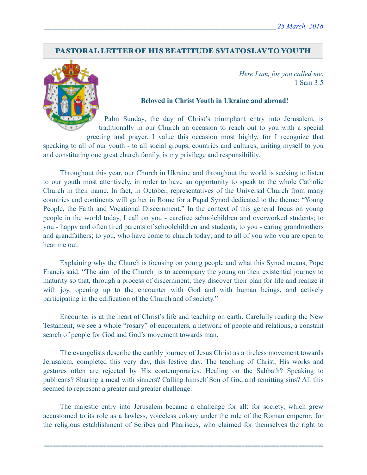### PASTORAL LETTER OF HIS BEATITUDE SVIATOSLAV TO YOUTH



*Here I am, for you called me.*  1 Sam 3:5

#### **Beloved in Christ Youth in Ukraine and abroad!**

Palm Sunday, the day of Christ's triumphant entry into Jerusalem, is traditionally in our Church an occasion to reach out to you with a special greeting and prayer. I value this occasion most highly, for I recognize that speaking to all of our youth - to all social groups, countries and cultures, uniting myself to you and constituting one great church family, is my privilege and responsibility.

Throughout this year, our Church in Ukraine and throughout the world is seeking to listen to our youth most attentively, in order to have an opportunity to speak to the whole Catholic Church in their name. In fact, in October, representatives of the Universal Church from many countries and continents will gather in Rome for a Papal Synod dedicated to the theme: "Young People, the Faith and Vocational Discernment." In the context of this general focus on young people in the world today, I call on you - carefree schoolchildren and overworked students; to you - happy and often tired parents of schoolchildren and students; to you - caring grandmothers and grandfathers; to you, who have come to church today; and to all of you who you are open to hear me out.

Explaining why the Church is focusing on young people and what this Synod means, Pope Francis said: "The aim [of the Church] is to accompany the young on their existential journey to maturity so that, through a process of discernment, they discover their plan for life and realize it with joy, opening up to the encounter with God and with human beings, and actively participating in the edification of the Church and of society."

Encounter is at the heart of Christ's life and teaching on earth. Carefully reading the New Testament, we see a whole "rosary" of encounters, a network of people and relations, a constant search of people for God and God's movement towards man.

The evangelists describe the earthly journey of Jesus Christ as a tireless movement towards Jerusalem, completed this very day, this festive day. The teaching of Christ, His works and gestures often are rejected by His contemporaries. Healing on the Sabbath? Speaking to publicans? Sharing a meal with sinners? Calling himself Son of God and remitting sins? All this seemed to represent a greater and greater challenge.

The majestic entry into Jerusalem became a challenge for all: for society, which grew accustomed to its role as a lawless, voiceless colony under the rule of the Roman emperor; for the religious establishment of Scribes and Pharisees, who claimed for themselves the right to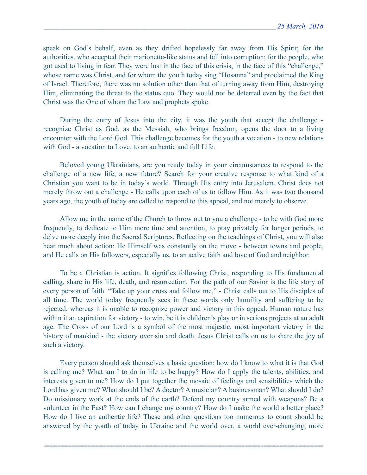speak on God's behalf, even as they drifted hopelessly far away from His Spirit; for the authorities, who accepted their marionette-like status and fell into corruption; for the people, who got used to living in fear. They were lost in the face of this crisis, in the face of this "challenge," whose name was Christ, and for whom the youth today sing "Hosanna" and proclaimed the King of Israel. Therefore, there was no solution other than that of turning away from Him, destroying Him, eliminating the threat to the status quo. They would not be deterred even by the fact that Christ was the One of whom the Law and prophets spoke.

During the entry of Jesus into the city, it was the youth that accept the challenge recognize Christ as God, as the Messiah, who brings freedom, opens the door to a living encounter with the Lord God. This challenge becomes for the youth a vocation - to new relations with God - a vocation to Love, to an authentic and full Life.

Beloved young Ukrainians, are you ready today in your circumstances to respond to the challenge of a new life, a new future? Search for your creative response to what kind of a Christian you want to be in today's world. Through His entry into Jerusalem, Christ does not merely throw out a challenge - He calls upon each of us to follow Him. As it was two thousand years ago, the youth of today are called to respond to this appeal, and not merely to observe.

Allow me in the name of the Church to throw out to you a challenge - to be with God more frequently, to dedicate to Him more time and attention, to pray privately for longer periods, to delve more deeply into the Sacred Scriptures. Reflecting on the teachings of Christ, you will also hear much about action: He Himself was constantly on the move - between towns and people, and He calls on His followers, especially us, to an active faith and love of God and neighbor.

To be a Christian is action. It signifies following Christ, responding to His fundamental calling, share in His life, death, and resurrection. For the path of our Savior is the life story of every person of faith. "Take up your cross and follow me," - Christ calls out to His disciples of all time. The world today frequently sees in these words only humility and suffering to be rejected, whereas it is unable to recognize power and victory in this appeal. Human nature has within it an aspiration for victory - to win, be it is children's play or in serious projects at an adult age. The Cross of our Lord is a symbol of the most majestic, most important victory in the history of mankind - the victory over sin and death. Jesus Christ calls on us to share the joy of such a victory.

Every person should ask themselves a basic question: how do I know to what it is that God is calling me? What am I to do in life to be happy? How do I apply the talents, abilities, and interests given to me? How do I put together the mosaic of feelings and sensibilities which the Lord has given me? What should I be? A doctor? A musician? A businessman? What should I do? Do missionary work at the ends of the earth? Defend my country armed with weapons? Be a volunteer in the East? How can I change my country? How do I make the world a better place? How do I live an authentic life? These and other questions too numerous to count should be answered by the youth of today in Ukraine and the world over, a world ever-changing, more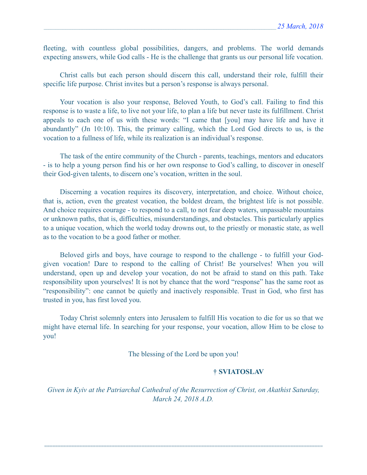fleeting, with countless global possibilities, dangers, and problems. The world demands expecting answers, while God calls - He is the challenge that grants us our personal life vocation.

Christ calls but each person should discern this call, understand their role, fulfill their specific life purpose. Christ invites but a person's response is always personal.

Your vocation is also your response, Beloved Youth, to God's call. Failing to find this response is to waste a life, to live not your life, to plan a life but never taste its fulfillment. Christ appeals to each one of us with these words: "I came that [you] may have life and have it abundantly" (Jn 10:10). This, the primary calling, which the Lord God directs to us, is the vocation to a fullness of life, while its realization is an individual's response.

The task of the entire community of the Church - parents, teachings, mentors and educators - is to help a young person find his or her own response to God's calling, to discover in oneself their God-given talents, to discern one's vocation, written in the soul.

Discerning a vocation requires its discovery, interpretation, and choice. Without choice, that is, action, even the greatest vocation, the boldest dream, the brightest life is not possible. And choice requires courage - to respond to a call, to not fear deep waters, unpassable mountains or unknown paths, that is, difficulties, misunderstandings, and obstacles. This particularly applies to a unique vocation, which the world today drowns out, to the priestly or monastic state, as well as to the vocation to be a good father or mother.

Beloved girls and boys, have courage to respond to the challenge - to fulfill your Godgiven vocation! Dare to respond to the calling of Christ! Be yourselves! When you will understand, open up and develop your vocation, do not be afraid to stand on this path. Take responsibility upon yourselves! It is not by chance that the word "response" has the same root as "responsibility": one cannot be quietly and inactively responsible. Trust in God, who first has trusted in you, has first loved you.

Today Christ solemnly enters into Jerusalem to fulfill His vocation to die for us so that we might have eternal life. In searching for your response, your vocation, allow Him to be close to you!

The blessing of the Lord be upon you!

#### **† SVIATOSLAV**

*Given in Kyiv at the Patriarchal Cathedral of the Resurrection of Christ, on Akathist Saturday, March 24, 2018 A.D.*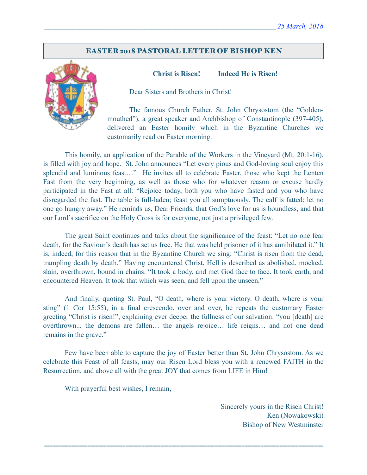## EASTER 2018 PASTORAL LETTER OF BISHOP KEN



**Christ is Risen! Indeed He is Risen!**

Dear Sisters and Brothers in Christ!

 The famous Church Father, St. John Chrysostom (the "Goldenmouthed"), a great speaker and Archbishop of Constantinople (397-405), delivered an Easter homily which in the Byzantine Churches we customarily read on Easter morning.

 This homily, an application of the Parable of the Workers in the Vineyard (Mt. 20:1-16), is filled with joy and hope. St. John announces "Let every pious and God-loving soul enjoy this splendid and luminous feast…" He invites all to celebrate Easter, those who kept the Lenten Fast from the very beginning, as well as those who for whatever reason or excuse hardly participated in the Fast at all: "Rejoice today, both you who have fasted and you who have disregarded the fast. The table is full-laden; feast you all sumptuously. The calf is fatted; let no one go hungry away." He reminds us, Dear Friends, that God's love for us is boundless, and that our Lord's sacrifice on the Holy Cross is for everyone, not just a privileged few.

 The great Saint continues and talks about the significance of the feast: "Let no one fear death, for the Saviour's death has set us free. He that was held prisoner of it has annihilated it." It is, indeed, for this reason that in the Byzantine Church we sing: "Christ is risen from the dead, trampling death by death." Having encountered Christ, Hell is described as abolished, mocked, slain, overthrown, bound in chains: "It took a body, and met God face to face. It took earth, and encountered Heaven. It took that which was seen, and fell upon the unseen."

 And finally, quoting St. Paul, "O death, where is your victory. O death, where is your sting" (1 Cor 15:55), in a final crescendo, over and over, he repeats the customary Easter greeting "Christ is risen!", explaining ever deeper the fullness of our salvation: "you [death] are overthrown... the demons are fallen… the angels rejoice… life reigns… and not one dead remains in the grave."

 Few have been able to capture the joy of Easter better than St. John Chrysostom. As we celebrate this Feast of all feasts, may our Risen Lord bless you with a renewed FAITH in the Resurrection, and above all with the great JOY that comes from LIFE in Him!

=======================================================================================================

With prayerful best wishes, I remain,

Sincerely yours in the Risen Christ! Ken (Nowakowski) Bishop of New Westminster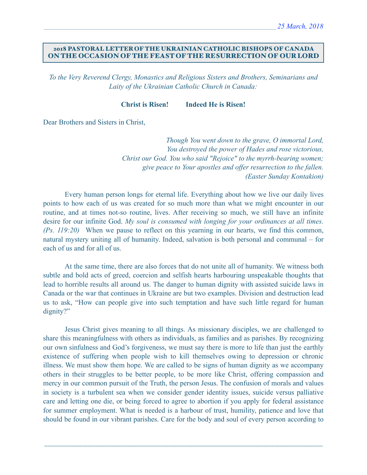#### 2018 PASTORAL LETTER OF THE UKRAINIAN CATHOLIC BISHOPS OF CANADA ON THE OCCASION OF THE FEAST OF THE RESURRECTION OF OUR LORD

*To the Very Reverend Clergy, Monastics and Religious Sisters and Brothers, Seminarians and Laity of the Ukrainian Catholic Church in Canada:*

**Christ is Risen! Indeed He is Risen!**

Dear Brothers and Sisters in Christ,

*Though You went down to the grave, O immortal Lord, You destroyed the power of Hades and rose victorious, Christ our God. You who said "Rejoice" to the myrrh-bearing women; give peace to Your apostles and offer resurrection to the fallen. (Easter Sunday Kontakion)*

 Every human person longs for eternal life. Everything about how we live our daily lives points to how each of us was created for so much more than what we might encounter in our routine, and at times not-so routine, lives. After receiving so much, we still have an infinite desire for our infinite God. *My soul is consumed with longing for your ordinances at all times. (Ps. 119:20)* When we pause to reflect on this yearning in our hearts, we find this common, natural mystery uniting all of humanity. Indeed, salvation is both personal and communal – for each of us and for all of us.

 At the same time, there are also forces that do not unite all of humanity. We witness both subtle and bold acts of greed, coercion and selfish hearts harbouring unspeakable thoughts that lead to horrible results all around us. The danger to human dignity with assisted suicide laws in Canada or the war that continues in Ukraine are but two examples. Division and destruction lead us to ask, "How can people give into such temptation and have such little regard for human dignity?"

 Jesus Christ gives meaning to all things. As missionary disciples, we are challenged to share this meaningfulness with others as individuals, as families and as parishes. By recognizing our own sinfulness and God's forgiveness, we must say there is more to life than just the earthly existence of suffering when people wish to kill themselves owing to depression or chronic illness. We must show them hope. We are called to be signs of human dignity as we accompany others in their struggles to be better people, to be more like Christ, offering compassion and mercy in our common pursuit of the Truth, the person Jesus. The confusion of morals and values in society is a turbulent sea when we consider gender identity issues, suicide versus palliative care and letting one die, or being forced to agree to abortion if you apply for federal assistance for summer employment. What is needed is a harbour of trust, humility, patience and love that should be found in our vibrant parishes. Care for the body and soul of every person according to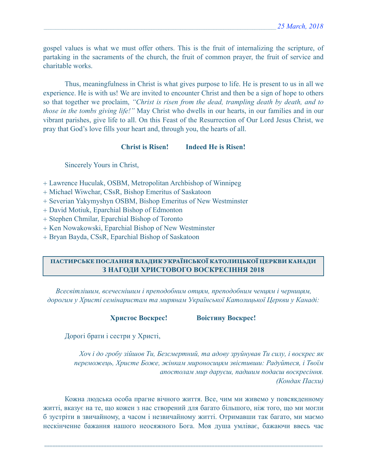gospel values is what we must offer others. This is the fruit of internalizing the scripture, of partaking in the sacraments of the church, the fruit of common prayer, the fruit of service and charitable works.

 Thus, meaningfulness in Christ is what gives purpose to life. He is present to us in all we experience. He is with us! We are invited to encounter Christ and then be a sign of hope to others so that together we proclaim, *"Christ is risen from the dead, trampling death by death, and to those in the tombs giving life!"* May Christ who dwells in our hearts, in our families and in our vibrant parishes, give life to all. On this Feast of the Resurrection of Our Lord Jesus Christ, we pray that God's love fills your heart and, through you, the hearts of all.

#### **Christ is Risen! Indeed He is Risen!**

Sincerely Yours in Christ,

- + Lawrence Huculak, OSBM, Metropolitan Archbishop of Winnipeg
- + Michael Wiwchar, CSsR, Bishop Emeritus of Saskatoon
- + Severian Yakymyshyn OSBM, Bishop Emeritus of New Westminster
- + David Motiuk, Eparchial Bishop of Edmonton
- + Stephen Chmilar, Eparchial Bishop of Toronto
- + Ken Nowakowski, Eparchial Bishop of New Westminster
- + Bryan Bayda, CSsR, Eparchial Bishop of Saskatoon

## ПАСТИРСЬКЕ ПОСЛАННЯ ВЛАДИК УКРАЇНСЬКОЇ КАТОЛИЦЬКОЇ ЦЕРКВИ КАНАДИ **З НАГОДИ ХРИСТОВОГО ВОСКРЕСІННЯ 2018**

*Всесвітлішим, всечеснішим і преподобним отцям, преподобним ченцям і черницям, дорогим у Христі семінаристам та мирянам Української Католицької Церкви у Канаді:*

**Христос Воскрес! Воістину Воскрес!**

Дорогі брати і сестри у Христі,

*Хоч і до гробу зійшов Ти, Безсмертний, та адову зруйнував Ти силу, і воскрес як переможець, Христе Боже, жінкам мироносицям звістивши: Радуйтеся, і Твоїм апостолам мир даруєш, падшим подаєш воскресіння. (Кондак Пасхи)*

Кожна людська особа прагне вічного життя. Все, чим ми живемо у повсякденному житті, вказує на те, що кожен з нас створений для багато більшого, ніж того, що ми могли б зустріти в звичайному, а часом і незвичайному житті. Отримавши так багато, ми маємо нескінченне бажання нашого неосяжного Бога. Моя душа умліває, бажаючи ввесь час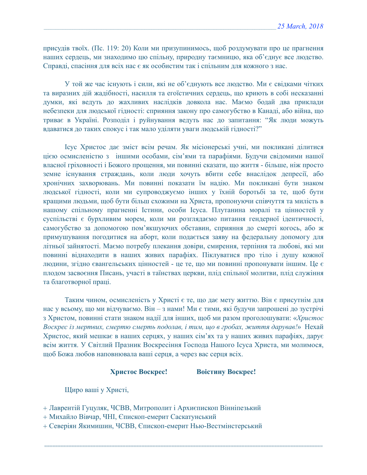присудів твоїх. (Пс. 119: 20) Коли ми призупинимось, щоб роздумувати про це прагнення наших сердець, ми знаходимо цю спільну, природну таємницю, яка об'єднує все людство. Справді, спасіння для всіх нас є як особистим так і спільним для кожного з нас.

У той же час існують і сили, які не об'єднують все людство. Ми є свідками чітких та виразних дій жадібності, насилля та егоїстичних сердець, що криють в собі несказанні думки, які ведуть до жахливих наслідків довкола нас. Маємо бодай два приклади небезпеки для людської гідності: сприяння закону про самогубство в Канаді, або війна, що триває в Україні. Розподіл і руйнування ведуть нас до запитання: "Як люди можуть вдаватися до таких спокус і так мало уділяти уваги людській гідності?"

Ісус Христос дає зміст всім речам. Як місіонерські учні, ми покликані ділитися цією осмисленістю з іншими особами, сім'ями та парафіями. Будучи свідомими нашої власної гріховності і Божого прощення, ми повинні сказати, що життя - більше, ніж просто земне існування страждань, коли люди хочуть вбити себе внаслідок депресії, або хронічних захворювань. Ми повинні показати їм надію. Ми покликані бути знаком людської гідності, коли ми супроводжуємо інших у їхній боротьбі за те, щоб бути кращими людьми, щоб бути більш схожими на Христа, пропонуючи співчуття та милість в нашому спільному прагненні Істини, особи Ісуса. Плутанина моралі та цінностей у суспільстві є бурхливим морем, коли ми розглядаємо питання гендерної ідентичності, самогубство за допомогою пом'якшуючих обставин, сприяння до смерті когось, або ж примушування погодитися на аборт, коли подається заяву на федеральну допомогу для літньої зайнятості. Маємо потребу плекання довіри, смирення, терпіння та любові, які ми повинні віднаходити в наших живих парафіях. Піклуватися про тіло і душу кожної людини, згідно євангельських цінностей - це те, що ми повинні пропонувати іншим. Це є плодом засвоєння Писань, участі в таїнствах церкви, плід спільної молитви, плід служіння та благотворної праці.

Таким чином, осмисленість у Христі є те, що дає мету життю. Він є присутнім для нас у всьому, що ми відчуваємо. Він – з нами! Ми є тими, які будучи запрошені до зустрічі з Христом, повинні стати знаком надії для інших, щоб ми разом проголошувати: «*Христос Воскрес із мертвих, смертю смерть подолав, і тим, що в гробах, життя дарував!*» Нехай Христос, який мешкає в наших серцях, у наших сім'ях та у наших живих парафіях, дарує всім життя. У Світлий Празник Воскресіння Господа Нашого Ісуса Христа, ми молимося, щоб Божа любов наповнювала ваші серця, а через вас серця всіх.

=======================================================================================================

#### **Христос Воскрес! Воістину Воскрес!**

Щиро ваші у Христі,

- + Михайло Вівчар, ЧНІ, Єпископ-емерит Саскатунський
- + Северіян Якимишин, ЧСВВ, Єпископ-емерит Нью-Вестмінстерський

<sup>+</sup> Лаврентій Гуцуляк, ЧСВВ, Митрополит i Архиєпископ Вінніпезький